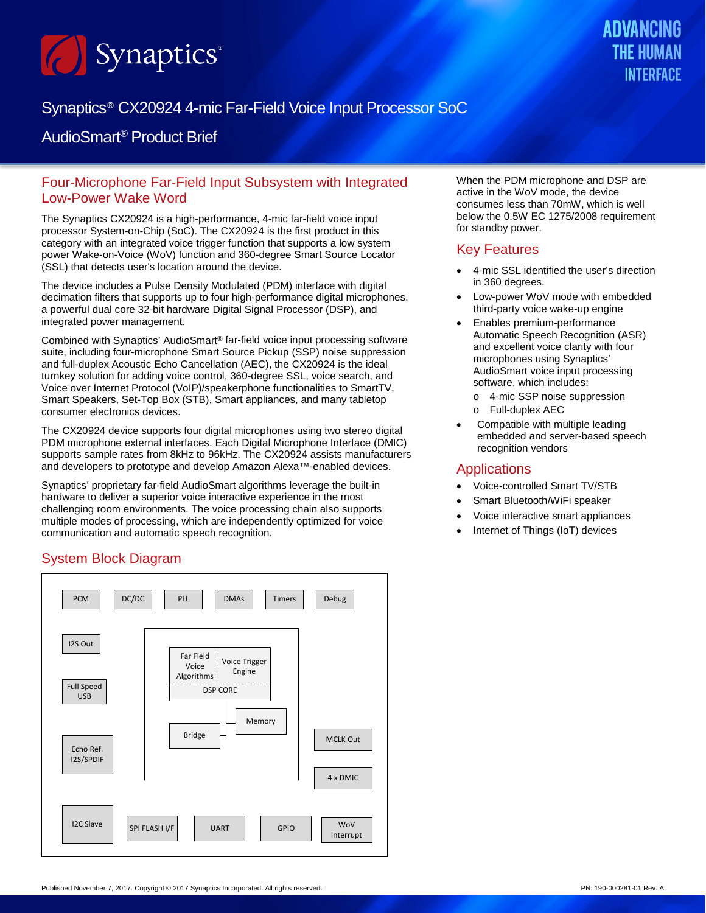

# Synaptics® CX20924 4-mic Far-Field Voice Input Processor SoC

## AudioSmart® Product Brief

### Four-Microphone Far-Field Input Subsystem with Integrated Low-Power Wake Word

The Synaptics CX20924 is a high-performance, 4-mic far-field voice input processor System-on-Chip (SoC). The CX20924 is the first product in this category with an integrated voice trigger function that supports a low system power Wake-on-Voice (WoV) function and 360-degree Smart Source Locator (SSL) that detects user's location around the device.

The device includes a Pulse Density Modulated (PDM) interface with digital decimation filters that supports up to four high-performance digital microphones, a powerful dual core 32-bit hardware Digital Signal Processor (DSP), and integrated power management.

Combined with Synaptics' AudioSmart® far-field voice input processing software suite, including four-microphone Smart Source Pickup (SSP) noise suppression and full-duplex Acoustic Echo Cancellation (AEC), the CX20924 is the ideal turnkey solution for adding voice control, 360-degree SSL, voice search, and Voice over Internet Protocol (VoIP)/speakerphone functionalities to SmartTV, Smart Speakers, Set-Top Box (STB), Smart appliances, and many tabletop consumer electronics devices.

The CX20924 device supports four digital microphones using two stereo digital PDM microphone external interfaces. Each Digital Microphone Interface (DMIC) supports sample rates from 8kHz to 96kHz. The CX20924 assists manufacturers and developers to prototype and develop Amazon Alexa™-enabled devices.

Synaptics' proprietary far-field AudioSmart algorithms leverage the built-in hardware to deliver a superior voice interactive experience in the most challenging room environments. The voice processing chain also supports multiple modes of processing, which are independently optimized for voice communication and automatic speech recognition.

### System Block Diagram



When the PDM microphone and DSP are active in the WoV mode, the device consumes less than 70mW, which is well below the 0.5W EC 1275/2008 requirement for standby power.

#### Key Features

- 4-mic SSL identified the user's direction in 360 degrees.
- Low-power WoV mode with embedded third-party voice wake-up engine
- Enables premium-performance Automatic Speech Recognition (ASR) and excellent voice clarity with four microphones using Synaptics' AudioSmart voice input processing software, which includes:
	- o 4-mic SSP noise suppression
	- o Full-duplex AEC
- Compatible with multiple leading embedded and server-based speech recognition vendors

#### **Applications**

- Voice-controlled Smart TV/STB
- Smart Bluetooth/WiFi speaker
- Voice interactive smart appliances
- Internet of Things (IoT) devices